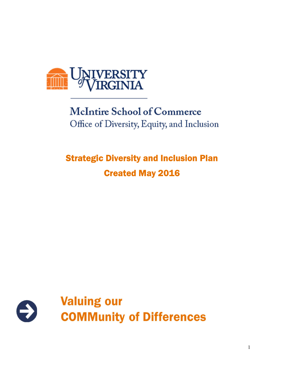

# **McIntire School of Commerce** Office of Diversity, Equity, and Inclusion

# Strategic Diversity and Inclusion Plan Created May 2016

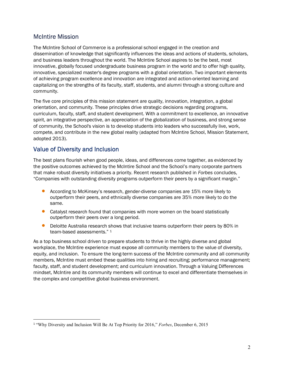# McIntire Mission

The McIntire School of Commerce is a professional school engaged in the creation and dissemination of knowledge that significantly influences the ideas and actions of students, scholars, and business leaders throughout the world. The McIntire School aspires to be the best, most innovative, globally focused undergraduate business program in the world and to offer high quality, innovative, specialized master's degree programs with a global orientation. Two important elements of achieving program excellence and innovation are integrated and action-oriented learning and capitalizing on the strengths of its faculty, staff, students, and alumni through a strong culture and community.

The five core principles of this mission statement are quality, innovation, integration, a global orientation, and community. These principles drive strategic decisions regarding programs, curriculum, faculty, staff, and student development. With a commitment to excellence, an innovative spirit, an integrative perspective, an appreciation of the globalization of business, and strong sense of community, the School's vision is to develop students into leaders who successfully live, work, compete, and contribute in the new global reality (adapted from McIntire School, Mission Statement, adopted 2013).

## Value of Diversity and Inclusion

The best plans flourish when good people, ideas, and differences come together, as evidenced by the positive outcomes achieved by the McIntire School and the School's many corporate partners that make robust diversity initiatives a priority. Recent research published in Forbes concludes, "Companies with outstanding diversity programs outperform their peers by a significant margin."

- According to McKinsey's research, gender-diverse companies are 15% more likely to outperform their peers, and ethnically diverse companies are 35% more likely to do the same.
- **Catalyst research found that companies with more women on the board statistically** outperform their peers over a long period.
- **•** Deloitte Australia research shows that inclusive teams outperform their peers by 80% in team-based assessments." 1

As a top business school driven to prepare students to thrive in the highly diverse and global workplace, the McIntire experience must expose all community members to the value of diversity, equity, and inclusion. To ensure the long-term success of the McIntire community and all community members, McIntire must embed these qualities into hiring and recruiting; performance management; faculty, staff, and student development; and curriculum innovation. Through a Valuing Differences mindset, McIntire and its community members will continue to excel and differentiate themselves in the complex and competitive global business environment.

<sup>1</sup> "Why Diversity and Inclusion Will Be At Top Priority for 2016," Forbes, December 6, 2015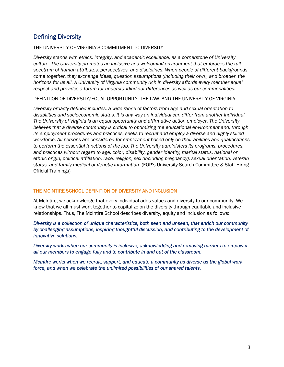# Defining Diversity

#### THE UNIVERSITY OF VIRGINIA'S COMMITMENT TO DIVERSITY

Diversity stands with ethics, integrity, and academic excellence, as a cornerstone of University culture. The University promotes an inclusive and welcoming environment that embraces the full spectrum of human attributes, perspectives, and disciplines. When people of different backgrounds come together, they exchange ideas, question assumptions (including their own), and broaden the horizons for us all. A University of Virginia community rich in diversity affords every member equal respect and provides a forum for understanding our differences as well as our commonalities.

DEFINITION OF DIVERSITY/EQUAL OPPORTUNITY, THE LAW, AND THE UNIVERSITY OF VIRGINIA

Diversity broadly defined includes, a wide range of factors from age and sexual orientation to disabilities and socioeconomic status. It is any way an individual can differ from another individual. The University of Virginia is an equal opportunity and affirmative action employer. The University believes that a diverse community is critical to optimizing the educational environment and, through its employment procedures and practices, seeks to recruit and employ a diverse and highly skilled workforce. All persons are considered for employment based only on their abilities and qualifications to perform the essential functions of the job. The University administers its programs, procedures, and practices without regard to age, color, disability, gender identity, marital status, national or ethnic origin, political affiliation, race, religion, sex (including pregnancy), sexual orientation, veteran status, and family medical or genetic information. (EOP's University Search Committee & Staff Hiring Official Trainings)

#### THE MCINTIRE SCHOOL DEFINITION OF DIVERSITY AND INCLUSION

At McIntire, we acknowledge that every individual adds values and diversity to our community. We know that we all must work together to capitalize on the diversity through equitable and inclusive relationships. Thus, The McIntire School describes diversity, equity and inclusion as follows:

Diversity is a collection of unique characteristics, both seen and unseen, that enrich our community by challenging assumptions, inspiring thoughtful discussion, and contributing to the development of innovative solutions.

Diversity works when our community is inclusive, acknowledging and removing barriers to empower all our members to engage fully and to contribute in and out of the classroom.

McIntire works when we recruit, support, and educate a community as diverse as the global work force, and when we celebrate the unlimited possibilities of our shared talents.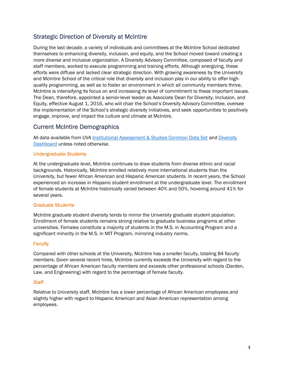# Strategic Direction of Diversity at McIntire

During the last decade, a variety of individuals and committees at the McIntire School dedicated themselves to enhancing diversity, inclusion, and equity, and the School moved toward creating a more diverse and inclusive organization. A Diversity Advisory Committee, composed of faculty and staff members, worked to execute programming and training efforts. Although energizing, these efforts were diffuse and lacked clear strategic direction. With growing awareness by the University and McIntire School of the critical role that diversity and inclusion play in our ability to offer highquality programming, as well as to foster an environment in which all community members thrive, McIntire is intensifying its focus on and increasing its level of commitment to these important issues. The Dean, therefore, appointed a senior-level leader as Associate Dean for Diversity, Inclusion, and Equity, effective August 1, 2016, who will chair the School's Diversity Advisory Committee, oversee the implementation of the School's strategic diversity initiatives, and seek opportunities to positively engage, improve, and impact the culture and climate at McIntire.

## Current McIntire Demographics

All data available from UVA Institutional Assessment & Studies Common Data Set and Diversity Dashboard unless noted otherwise.

#### Undergraduate Students

At the undergraduate level, McIntire continues to draw students from diverse ethnic and racial backgrounds. Historically, McIntire enrolled relatively more international students than the University, but fewer African American and Hispanic American students. In recent years, the School experienced an increase in Hispanic student enrollment at the undergraduate level. The enrollment of female students at McIntire historically varied between 40% and 50%, hovering around 41% for several years.

#### Graduate Students

McIntire graduate student diversity tends to mirror the University graduate student population. Enrollment of female students remains strong relative to graduate business programs at other universities. Females constitute a majority of students in the M.S. in Accounting Program and a significant minority in the M.S. in MIT Program, mirroring industry norms.

#### **Faculty**

Compared with other schools at the University, McIntire has a smaller faculty, totaling 84 faculty members. Given several recent hires, McIntire currently exceeds the University with regard to the percentage of African American faculty members and exceeds other professional schools (Darden, Law, and Engineering) with regard to the percentage of female faculty.

#### **Staff**

Relative to University staff, McIntire has a lower percentage of African American employees and slightly higher with regard to Hispanic American and Asian American representation among employees.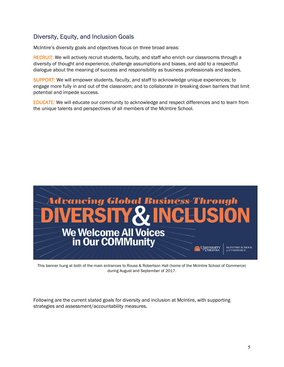# Diversity, Equity, and Inclusion Goals

McIntire's diversity goals and objectives focus on three broad areas:

RECRUIT: We will actively recruit students, faculty, and staff who enrich our classrooms through a diversity of thought and experience, challenge assumptions and biases, and add to a respectful dialogue about the meaning of success and responsibility as business professionals and leaders.

SUPPORT: We will empower students, faculty, and staff to acknowledge unique experiences; to engage more fully in and out of the classroom; and to collaborate in breaking down barriers that limit potential and impede success.

EDUCATE: We will educate our community to acknowledge and respect differences and to learn from the unique talents and perspectives of all members of the McIntire School.



This banner hung at both of the main entrances to Rouss & Robertson Hall (home of the McIntire School of Commerce) during August and September of 2017.

Following are the current stated goals for diversity and inclusion at McIntire, with supporting strategies and assessment/accountability measures.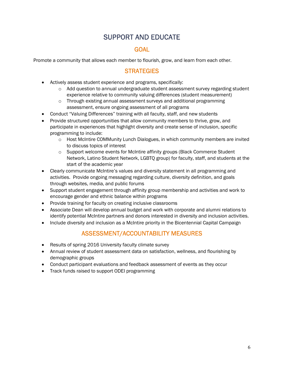# SUPPORT AND EDUCATE

## **GOAL**

Promote a community that allows each member to flourish, grow, and learn from each other.

# **STRATEGIES**

- Actively assess student experience and programs, specifically:
	- $\circ$  Add question to annual undergraduate student assessment survey regarding student experience relative to community valuing differences (student measurement)
	- $\circ$  Through existing annual assessment surveys and additional programming assessment, ensure ongoing assessment of all programs
- Conduct "Valuing Differences" training with all faculty, staff, and new students
- Provide structured opportunities that allow community members to thrive, grow, and participate in experiences that highlight diversity and create sense of inclusion, specific programming to include:
	- $\circ$  Host McIntire COMMunity Lunch Dialogues, in which community members are invited to discuss topics of interest
	- o Support welcome events for McIntire affinity groups (Black Commerce Student Network, Latino Student Network, LGBTQ group) for faculty, staff, and students at the start of the academic year
- Clearly communicate McIntire's values and diversity statement in all programming and activities. Provide ongoing messaging regarding culture, diversity definition, and goals through websites, media, and public forums
- Support student engagement through affinity group membership and activities and work to encourage gender and ethnic balance within programs
- Provide training for faculty on creating inclusive classrooms
- Associate Dean will develop annual budget and work with corporate and alumni relations to identify potential McIntire partners and donors interested in diversity and inclusion activities.
- Include diversity and inclusion as a McIntire priority in the Bicentennial Capital Campaign

## ASSESSMENT/ACCOUNTABILITY MEASURES

- Results of spring 2016 University faculty climate survey
- Annual review of student assessment data on satisfaction, wellness, and flourishing by demographic groups
- Conduct participant evaluations and feedback assessment of events as they occur
- Track funds raised to support ODEI programming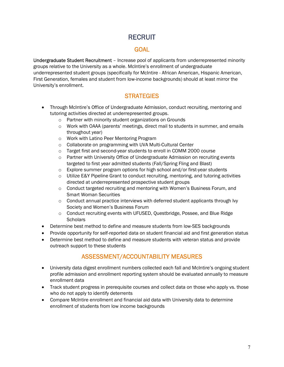# **RECRUIT**

## **GOAL**

Undergraduate Student Recruitment – Increase pool of applicants from underrepresented minority groups relative to the University as a whole. McIntire's enrollment of undergraduate underrepresented student groups (specifically for McIntire - African American, Hispanic American, First Generation, females and student from low-income backgrounds) should at least mirror the University's enrollment.

# **STRATEGIES**

- Through McIntire's Office of Undergraduate Admission, conduct recruiting, mentoring and tutoring activities directed at underrepresented groups.
	- o Partner with minority student organizations on Grounds
	- o Work with OAAA (parents' meetings, direct mail to students in summer, and emails throughout year)
	- o Work with Latino Peer Mentoring Program
	- o Collaborate on programming with UVA Multi-Cultural Center
	- o Target first and second-year students to enroll in COMM 2000 course
	- o Partner with University Office of Undergraduate Admission on recruiting events targeted to first year admitted students (Fall/Spring Fling and Blast)
	- $\circ$  Explore summer program options for high school and/or first-year students
	- $\circ$  Utilize E&Y Pipeline Grant to conduct recruiting, mentoring, and tutoring activities directed at underrepresented prospective student groups
	- $\circ$  Conduct targeted recruiting and mentoring with Women's Business Forum, and Smart Woman Securities
	- $\circ$  Conduct annual practice interviews with deferred student applicants through Ivy Society and Women's Business Forum
	- o Conduct recruiting events with UFUSED, Questbridge, Possee, and Blue Ridge **Scholars**
- Determine best method to define and measure students from low-SES backgrounds
- Provide opportunity for self-reported data on student financial aid and first generation status
- Determine best method to define and measure students with veteran status and provide outreach support to these students

# ASSESSMENT/ACCOUNTABILITY MEASURES

- University data digest enrollment numbers collected each fall and McIntire's ongoing student profile admission and enrollment reporting system should be evaluated annually to measure enrollment data
- Track student progress in prerequisite courses and collect data on those who apply vs. those who do not apply to identify deterrents
- Compare McIntire enrollment and financial aid data with University data to determine enrollment of students from low income backgrounds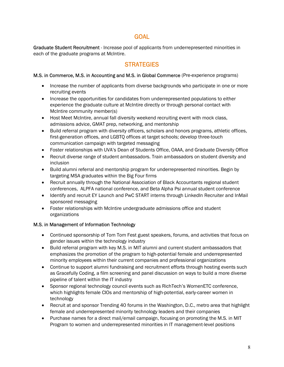## GOAL

Graduate Student Recruitment - Increase pool of applicants from underrepresented minorities in each of the graduate programs at McIntire.

## **STRATEGIES**

#### M.S. in Commerce, M.S. in Accounting and M.S. in Global Commerce (Pre-experience programs)

- Increase the number of applicants from diverse backgrounds who participate in one or more recruiting events
- Increase the opportunities for candidates from underrepresented populations to either experience the graduate culture at McIntire directly or through personal contact with McIntire community member(s)
- Host Meet McIntire, annual fall diversity weekend recruiting event with mock class, admissions advice, GMAT prep, networking, and mentorship
- Build referral program with diversity officers, scholars and honors programs, athletic offices, first-generation offices, and LGBTQ offices at target schools; develop three-touch communication campaign with targeted messaging
- Foster relationships with UVA's Dean of Students Office, OAAA, and Graduate Diversity Office
- Recruit diverse range of student ambassadors. Train ambassadors on student diversity and inclusion
- Build alumni referral and mentorship program for underrepresented minorities. Begin by targeting MSA graduates within the Big Four firms
- Recruit annually through the National Association of Black Accountants regional student conferences, ALPFA national conference, and Beta Alpha Psi annual student conference
- Identify and recruit EY Launch and PwC START interns through LinkedIn Recruiter and InMail sponsored messaging
- Foster relationships with McIntire undergraduate admissions office and student organizations

#### M.S. in Management of Information Technology

- Continued sponsorship of Tom Tom Fest guest speakers, forums, and activities that focus on gender issues within the technology industry
- Build referral program with key M.S. in MIT alumni and current student ambassadors that emphasizes the promotion of the program to high-potential female and underrepresented minority employees within their current companies and professional organizations
- Continue to support alumni fundraising and recruitment efforts through hosting events such as Gracefully Coding, a film screening and panel discussion on ways to build a more diverse pipeline of talent within the IT industry
- Sponsor regional technology council events such as RichTech's WomenETC conference, which highlights female CIOs and mentorship of high-potential, early-career women in technology
- Recruit at and sponsor Trending 40 forums in the Washington, D.C., metro area that highlight female and underrepresented minority technology leaders and their companies
- Purchase names for a direct mail/email campaign, focusing on promoting the M.S. in MIT Program to women and underrepresented minorities in IT management-level positions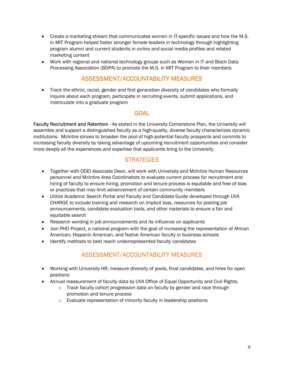- Create a marketing stream that communicates women in IT-specific issues and how the M.S. in MIT Program helped foster stronger female leaders in technology through highlighting program alumni and current students in online and social media profiles and related marketing content
- Work with regional and national technology groups such as Women in IT and Black Data Processing Association (BDPA) to promote the M.S. in MIT Program to their members

# ASSESSMENT/ACCOUNTABILITY MEASURES

 Track the ethnic, racial, gender and first generation diversity of candidates who formally inquire about each program, participate in recruiting events, submit applications, and matriculate into a graduate program

#### GOAL

Faculty Recruitment and Retention - As stated in the University Cornerstone Plan, the University will assemble and support a distinguished faculty as a high-quality, diverse faculty characterizes dynamic institutions. McIntire strives to broaden the pool of high-potential faculty prospects and commits to increasing faculty diversity by taking advantage of upcoming recruitment opportunities and consider more deeply all the experiences and expertise that applicants bring to the University.

#### **STRATEGIES**

- Together with ODEI Associate Dean, will work with University and McIntire Human Resources personnel and McIntire Area Coordinators to evaluate current process for recruitment and hiring of faculty to ensure hiring, promotion and tenure process is equitable and free of bias or practices that may limit advancement of certain community members
- Utilize Academic Search Portal and Faculty and Candidate Guide developed through UVA CHARGE to include training and research on implicit bias, resources for posting job announcements, candidate evaluation tools, and other materials to ensure a fair and equitable search
- Research wording in job announcements and its influence on applicants
- Join PHD Project, a national program with the goal of increasing the representation of African American, Hispanic American, and Native American faculty in business schools
- Identify methods to best reach underrepresented faculty candidates

# ASSESSMENT/ACCOUNTABILITY MEASURES

- Working with University HR, measure diversity of pools, final candidates, and hires for open positions
- Annual measurement of faculty data by UVA Office of Equal Opportunity and Civil Rights.
	- o Track faculty cohort progression data on faculty by gender and race through promotion and tenure process
	- o Evaluate representation of minority faculty in leadership positions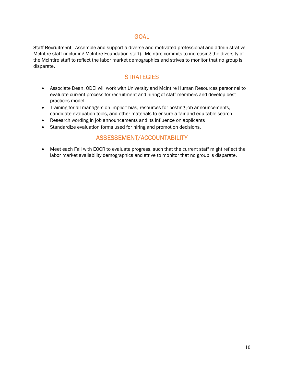## GOAL

Staff Recruitment - Assemble and support a diverse and motivated professional and administrative McIntire staff (including McIntire Foundation staff). McIntire commits to increasing the diversity of the McIntire staff to reflect the labor market demographics and strives to monitor that no group is disparate.

# **STRATEGIES**

- Associate Dean, ODEI will work with University and McIntire Human Resources personnel to evaluate current process for recruitment and hiring of staff members and develop best practices model
- Training for all managers on implicit bias, resources for posting job announcements, candidate evaluation tools, and other materials to ensure a fair and equitable search
- Research wording in job announcements and its influence on applicants
- Standardize evaluation forms used for hiring and promotion decisions.

# ASSESSEMENT/ACCOUNTABILITY

 Meet each Fall with EOCR to evaluate progress, such that the current staff might reflect the labor market availability demographics and strive to monitor that no group is disparate.